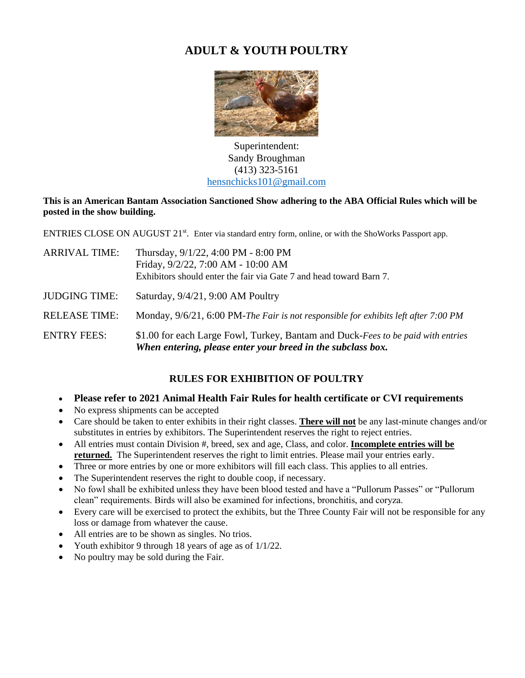# **ADULT & YOUTH POULTRY**



[Super](https://www.flickr.com/photos/25118064@N08/5687956637)intendent: [S](https://creativecommons.org/licenses/by/3.0/)andy Broughm[an](https://creativecommons.org/licenses/by/3.0/) (413) 323-5161 [hensnchicks101@gmail.com](mailto:hensnchicks101@gmail.com)

### **This is an American Bantam Association Sanctioned Show adhering to the ABA Official Rules which will be posted in the show building.**

ENTRIES CLOSE ON AUGUST 21<sup>st</sup>. Enter via standard entry form, online, or with the ShoWorks Passport app.

| ARRIVAL TIME: | Thursday, 9/1/22, 4:00 PM - 8:00 PM<br>Friday, 9/2/22, 7:00 AM - 10:00 AM<br>Exhibitors should enter the fair via Gate 7 and head toward Barn 7. |
|---------------|--------------------------------------------------------------------------------------------------------------------------------------------------|
| JUDGING TIME: | Saturday, $9/4/21$ , 9:00 AM Poultry                                                                                                             |
| RELEASE TIME: | Monday, 9/6/21, 6:00 PM-The Fair is not responsible for exhibits left after 7:00 PM                                                              |

ENTRY FEES: \$1.00 for each Large Fowl, Turkey, Bantam and Duck-*Fees to be paid with entries When entering, please enter your breed in the subclass box.*

# **RULES FOR EXHIBITION OF POULTRY**

- **Please refer to 2021 Animal Health Fair Rules for health certificate or CVI requirements**
- No express shipments can be accepted
- Care should be taken to enter exhibits in their right classes. **There will not** be any last-minute changes and/or substitutes in entries by exhibitors. The Superintendent reserves the right to reject entries.
- All entries must contain Division #, breed, sex and age, Class, and color. **Incomplete entries will be returned.** The Superintendent reserves the right to limit entries. Please mail your entries early.
- Three or more entries by one or more exhibitors will fill each class. This applies to all entries.
- The Superintendent reserves the right to double coop, if necessary.
- No fowl shall be exhibited unless they have been blood tested and have a "Pullorum Passes" or "Pullorum clean" requirements. Birds will also be examined for infections, bronchitis, and coryza.
- Every care will be exercised to protect the exhibits, but the Three County Fair will not be responsible for any loss or damage from whatever the cause.
- All entries are to be shown as singles. No trios.
- Youth exhibitor 9 through 18 years of age as of  $1/1/22$ .
- No poultry may be sold during the Fair.